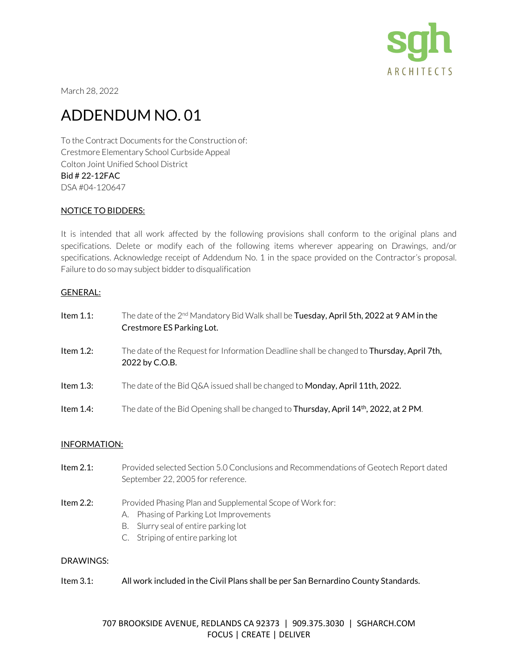

March 28, 2022

# ADDENDUM NO. 01

To the Contract Documents for the Construction of: Crestmore Elementary School Curbside Appeal Colton Joint Unified School District Bid # 22-12FAC DSA #04-120647

## NOTICE TO BIDDERS:

It is intended that all work affected by the following provisions shall conform to the original plans and specifications. Delete or modify each of the following items wherever appearing on Drawings, and/or specifications. Acknowledge receipt of Addendum No. 1 in the space provided on the Contractor's proposal. Failure to do so may subject bidder to disqualification

### GENERAL:

| Item $1.1$ : | The date of the $2^{nd}$ Mandatory Bid Walk shall be <b>Tuesday, April 5th, 2022 at 9 AM in the</b><br>Crestmore ES Parking Lot. |
|--------------|----------------------------------------------------------------------------------------------------------------------------------|
| Item $1.2$ : | The date of the Request for Information Deadline shall be changed to <b>Thursday, April 7th,</b><br>2022 by C.O.B.               |
| Item $1.3$ : | The date of the Bid Q&A issued shall be changed to <b>Monday, April 11th, 2022.</b>                                              |
| Item $1.4$ : | The date of the Bid Opening shall be changed to Thursday, April 14 <sup>th</sup> , 2022, at 2 PM.                                |

### INFORMATION:

- Item 2.1: Provided selected Section 5.0 Conclusions and Recommendations of Geotech Report dated September 22, 2005 for reference.
- Item 2.2: Provided Phasing Plan and Supplemental Scope of Work for:
	- A. Phasing of Parking Lot Improvements
	- B. Slurry seal of entire parking lot
	- C. Striping of entire parking lot

### DRAWINGS:

Item 3.1: All work included in the Civil Plans shall be per San Bernardino County Standards.